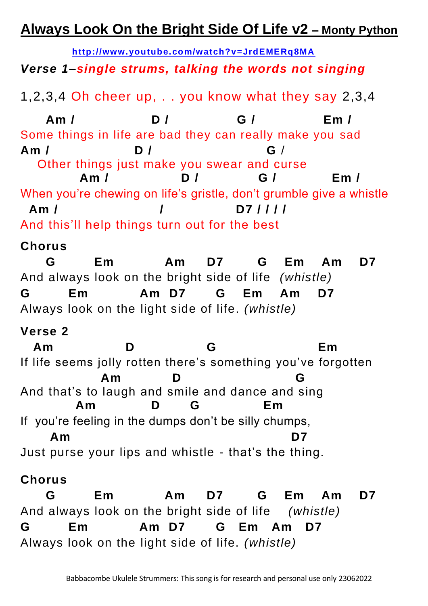# **Always Look On the Bright Side Of Life v2 – Monty Python**

**<http://www.youtube.com/watch?v=JrdEMERq8MA>** *Verse 1–single strums, talking the words not singing*

1,2,3,4 Oh cheer up, . . you know what they say 2,3,4

 **Am / D / G / Em /** Some things in life are bad they can really make you sad **Am / D / G** / Other things just make you swear and curse  **Am / D / G / Em /** When you're chewing on life's gristle, don't grumble give a whistle  **Am / / D7 / / / /**  And this'll help things turn out for the best

### **Chorus**

 **G Em Am D7 G Em Am D7**  And always look on the bright side of life *(whistle)* **G Em Am D7 G Em Am D7**  Always look on the light side of life. *(whistle)* 

## **Verse 2**

 **Am D G Em** If life seems jolly rotten there's something you've forgotten  **Am D G** And that's to laugh and smile and dance and sing  **Am D G Em** If you're feeling in the dumps don't be silly chumps,  **Am D7** Just purse your lips and whistle - that's the thing.

## **Chorus**

 **G Em Am D7 G Em Am D7**  And always look on the bright side of life *(whistle)* **G Em Am D7 G Em Am D7**  Always look on the light side of life. *(whistle)*